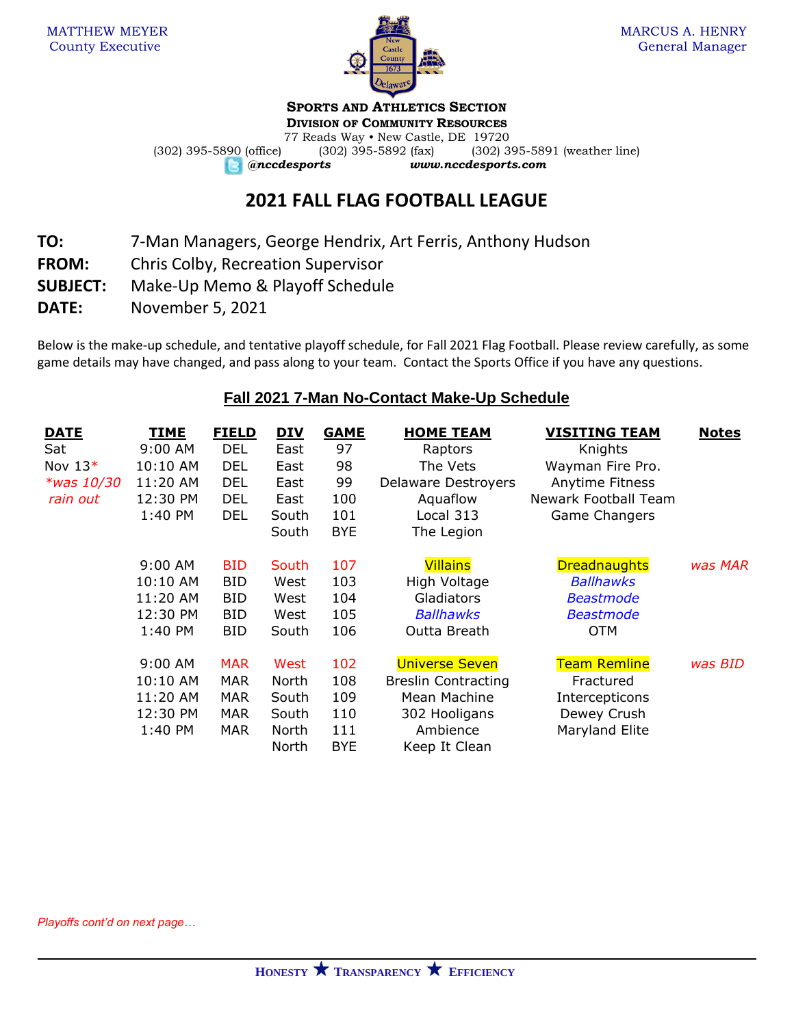

# **SPORTS AND ATHLETICS SECTION**

**DIVISION OF COMMUNITY RESOURCES**

77 Reads Way • New Castle, DE 19720 (302) 395-5890 (office) (302) 395-5892 (fax) (302) 395-5891 (weather line) *@nccdesports www.nccdesports.com*

# **2021 FALL FLAG FOOTBALL LEAGUE**

**TO:** 7-Man Managers, George Hendrix, Art Ferris, Anthony Hudson

- **FROM:** Chris Colby, Recreation Supervisor
- **SUBJECT:** Make-Up Memo & Playoff Schedule
- **DATE:** November 5, 2021

Below is the make-up schedule, and tentative playoff schedule, for Fall 2021 Flag Football. Please review carefully, as some game details may have changed, and pass along to your team. Contact the Sports Office if you have any questions.

# **Fall 2021 7-Man No-Contact Make-Up Schedule**

| <u>DATE</u>   | TIME     | <b>FIELD</b> | <u>DIV</u> | <b>GAME</b> | <b>HOME TEAM</b>           | <b>VISITING TEAM</b> | <u>Notes</u> |
|---------------|----------|--------------|------------|-------------|----------------------------|----------------------|--------------|
| Sat           | 9:00 AM  | <b>DEL</b>   | East       | 97          | Raptors                    | Knights              |              |
| Nov $13*$     | 10:10 AM | <b>DEL</b>   | East       | 98          | The Vets                   | Wayman Fire Pro.     |              |
| $*$ was 10/30 | 11:20 AM | <b>DEL</b>   | East       | 99          | <b>Delaware Destroyers</b> | Anytime Fitness      |              |
| rain out      | 12:30 PM | <b>DEL</b>   | East       | 100         | Aquaflow                   | Newark Football Team |              |
|               | 1:40 PM  | <b>DEL</b>   | South      | 101         | Local 313                  | Game Changers        |              |
|               |          |              | South      | <b>BYE</b>  | The Legion                 |                      |              |
|               | 9:00 AM  | <b>BID</b>   | South      | 107         | <b>Villains</b>            | <b>Dreadnaughts</b>  | was MAR      |
|               | 10:10 AM | <b>BID</b>   | West       | 103         | High Voltage               | <b>Ballhawks</b>     |              |
|               | 11:20 AM | <b>BID</b>   | West       | 104         | Gladiators                 | <b>Beastmode</b>     |              |
|               | 12:30 PM | <b>BID</b>   | West       | 105         | <b>Ballhawks</b>           | <b>Beastmode</b>     |              |
|               | 1:40 PM  | BID          | South      | 106         | Outta Breath               | <b>OTM</b>           |              |
|               | 9:00 AM  | <b>MAR</b>   | West       | 102         | <b>Universe Seven</b>      | <b>Team Remline</b>  | was BID      |
|               | 10:10 AM | MAR          | North      | 108         | <b>Breslin Contracting</b> | Fractured            |              |
|               | 11:20 AM | MAR          | South      | 109         | Mean Machine               | Intercepticons       |              |
|               | 12:30 PM | <b>MAR</b>   | South      | 110         | 302 Hooligans              | Dewey Crush          |              |
|               | 1:40 PM  | <b>MAR</b>   | North      | 111         | Ambience                   | Maryland Elite       |              |
|               |          |              | North      | <b>BYE</b>  | Keep It Clean              |                      |              |

*Playoffs cont'd on next page…*